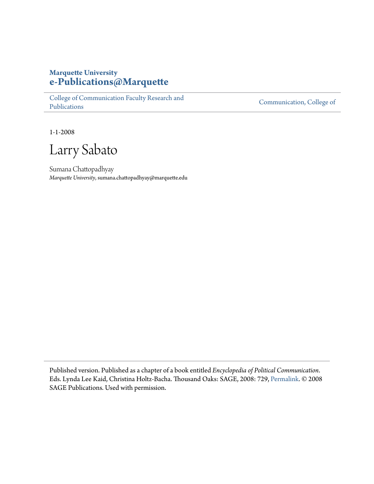## **Marquette University [e-Publications@Marquette](https://epublications.marquette.edu)**

[College of Communication Faculty Research and](https://epublications.marquette.edu/comm_fac) [Publications](https://epublications.marquette.edu/comm_fac)

[Communication, College of](https://epublications.marquette.edu/communication)

1-1-2008

Larry Sabato

Sumana Chattopadhyay *Marquette University*, sumana.chattopadhyay@marquette.edu

Published version. Published as a chapter of a book entitled *Encyclopedia of Political Communication*. Eds. Lynda Lee Kaid, Christina Holtz-Bacha. Thousand Oaks: SAGE, 2008: 729, [Permalink](http://www.uk.sagepub.com/books/Book227489). © 2008 SAGE Publications. Used with permission.